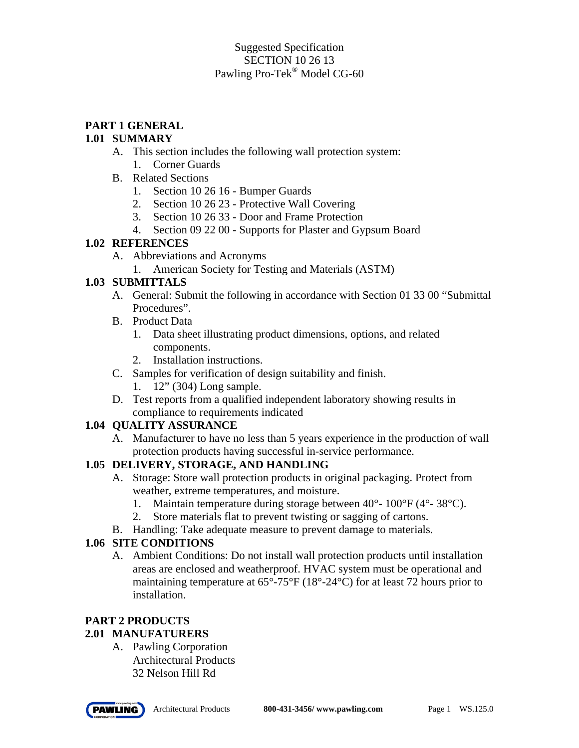## Suggested Specification SECTION 10 26 13 Pawling Pro-Tek® Model CG-60

# **PART 1 GENERAL**

### **1.01 SUMMARY**

- A. This section includes the following wall protection system:
	- 1. Corner Guards
- B. Related Sections
	- 1. Section 10 26 16 Bumper Guards
	- 2. Section 10 26 23 Protective Wall Covering
	- 3. Section 10 26 33 Door and Frame Protection
	- 4. Section 09 22 00 Supports for Plaster and Gypsum Board

## **1.02 REFERENCES**

- A. Abbreviations and Acronyms
	- 1. American Society for Testing and Materials (ASTM)

## **1.03 SUBMITTALS**

- A. General: Submit the following in accordance with Section 01 33 00 "Submittal Procedures".
- B. Product Data
	- 1. Data sheet illustrating product dimensions, options, and related components.
	- 2. Installation instructions.
- C. Samples for verification of design suitability and finish.
	- 1. 12" (304) Long sample.
- D. Test reports from a qualified independent laboratory showing results in compliance to requirements indicated

# **1.04 QUALITY ASSURANCE**

A. Manufacturer to have no less than 5 years experience in the production of wall protection products having successful in-service performance.

# **1.05 DELIVERY, STORAGE, AND HANDLING**

- A. Storage: Store wall protection products in original packaging. Protect from weather, extreme temperatures, and moisture.
	- 1. Maintain temperature during storage between 40°- 100°F (4°- 38°C).
	- 2. Store materials flat to prevent twisting or sagging of cartons.
- B. Handling: Take adequate measure to prevent damage to materials.

# **1.06 SITE CONDITIONS**

A. Ambient Conditions: Do not install wall protection products until installation areas are enclosed and weatherproof. HVAC system must be operational and maintaining temperature at 65°-75°F (18°-24°C) for at least 72 hours prior to installation.

# **PART 2 PRODUCTS**

# **2.01 MANUFATURERS**

A. Pawling Corporation Architectural Products 32 Nelson Hill Rd